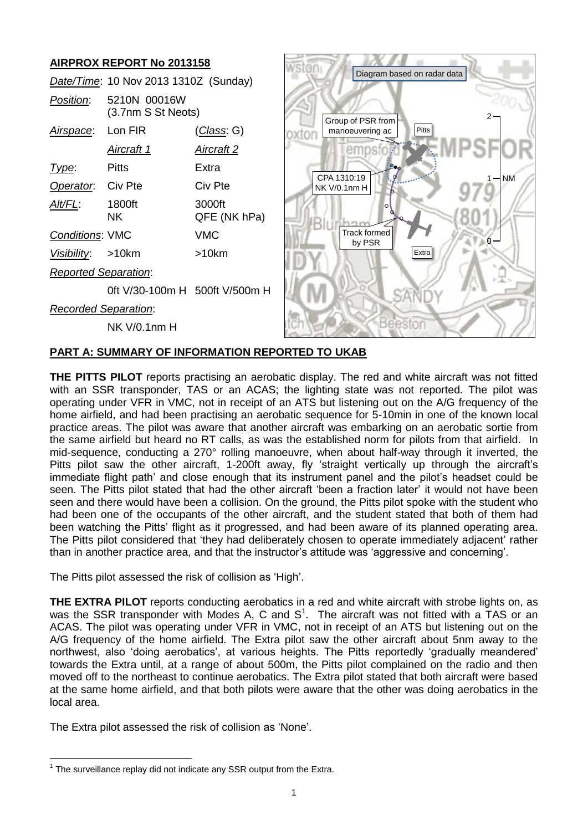#### **AIRPROX REPORT No 2013158** ston Diagram based on radar data *Date/Time*: 10 Nov 2013 1310Z (Sunday) *Position*: 5210N 00016W (3.7nm S St Neots) <sup>2</sup> Group of PSR from *Airspace*: Lon FIR (*Class*: G) manoeuvering ac **Pitts** oxton *Aircraft 1 Aircraft 2* emn *Type*: Pitts Extra CPA 1310:19 NM 1 **Operator:** Civ Pte Civ Pte NK V/0.1nm H *Alt/FL*: 1800ft 3000ft  $\epsilon$ NK QFE (NK hPa) Track formed *Conditions*: VMC VMC by PSR  $\mathbf{0}$ Extra *Visibility*: >10km >10km *Reported Separation*: 0ft V/30-100m H 500ft V/500m H *Recorded Separation*: NK V/0.1nm H

# **PART A: SUMMARY OF INFORMATION REPORTED TO UKAB**

**THE PITTS PILOT** reports practising an aerobatic display. The red and white aircraft was not fitted with an SSR transponder, TAS or an ACAS; the lighting state was not reported. The pilot was operating under VFR in VMC, not in receipt of an ATS but listening out on the A/G frequency of the home airfield, and had been practising an aerobatic sequence for 5-10min in one of the known local practice areas. The pilot was aware that another aircraft was embarking on an aerobatic sortie from the same airfield but heard no RT calls, as was the established norm for pilots from that airfield. In mid-sequence, conducting a 270° rolling manoeuvre, when about half-way through it inverted, the Pitts pilot saw the other aircraft, 1-200ft away, fly 'straight vertically up through the aircraft's immediate flight path' and close enough that its instrument panel and the pilot's headset could be seen. The Pitts pilot stated that had the other aircraft 'been a fraction later' it would not have been seen and there would have been a collision. On the ground, the Pitts pilot spoke with the student who had been one of the occupants of the other aircraft, and the student stated that both of them had been watching the Pitts' flight as it progressed, and had been aware of its planned operating area. The Pitts pilot considered that 'they had deliberately chosen to operate immediately adjacent' rather than in another practice area, and that the instructor's attitude was 'aggressive and concerning'.

The Pitts pilot assessed the risk of collision as 'High'.

**THE EXTRA PILOT** reports conducting aerobatics in a red and white aircraft with strobe lights on, as was the SSR transponder with Modes A, C and  $S<sup>1</sup>$ . The aircraft was not fitted with a TAS or an ACAS. The pilot was operating under VFR in VMC, not in receipt of an ATS but listening out on the A/G frequency of the home airfield. The Extra pilot saw the other aircraft about 5nm away to the northwest, also 'doing aerobatics', at various heights. The Pitts reportedly 'gradually meandered' towards the Extra until, at a range of about 500m, the Pitts pilot complained on the radio and then moved off to the northeast to continue aerobatics. The Extra pilot stated that both aircraft were based at the same home airfield, and that both pilots were aware that the other was doing aerobatics in the local area.

The Extra pilot assessed the risk of collision as 'None'.

 $\overline{a}$ 

 $1$  The surveillance replay did not indicate any SSR output from the Extra.